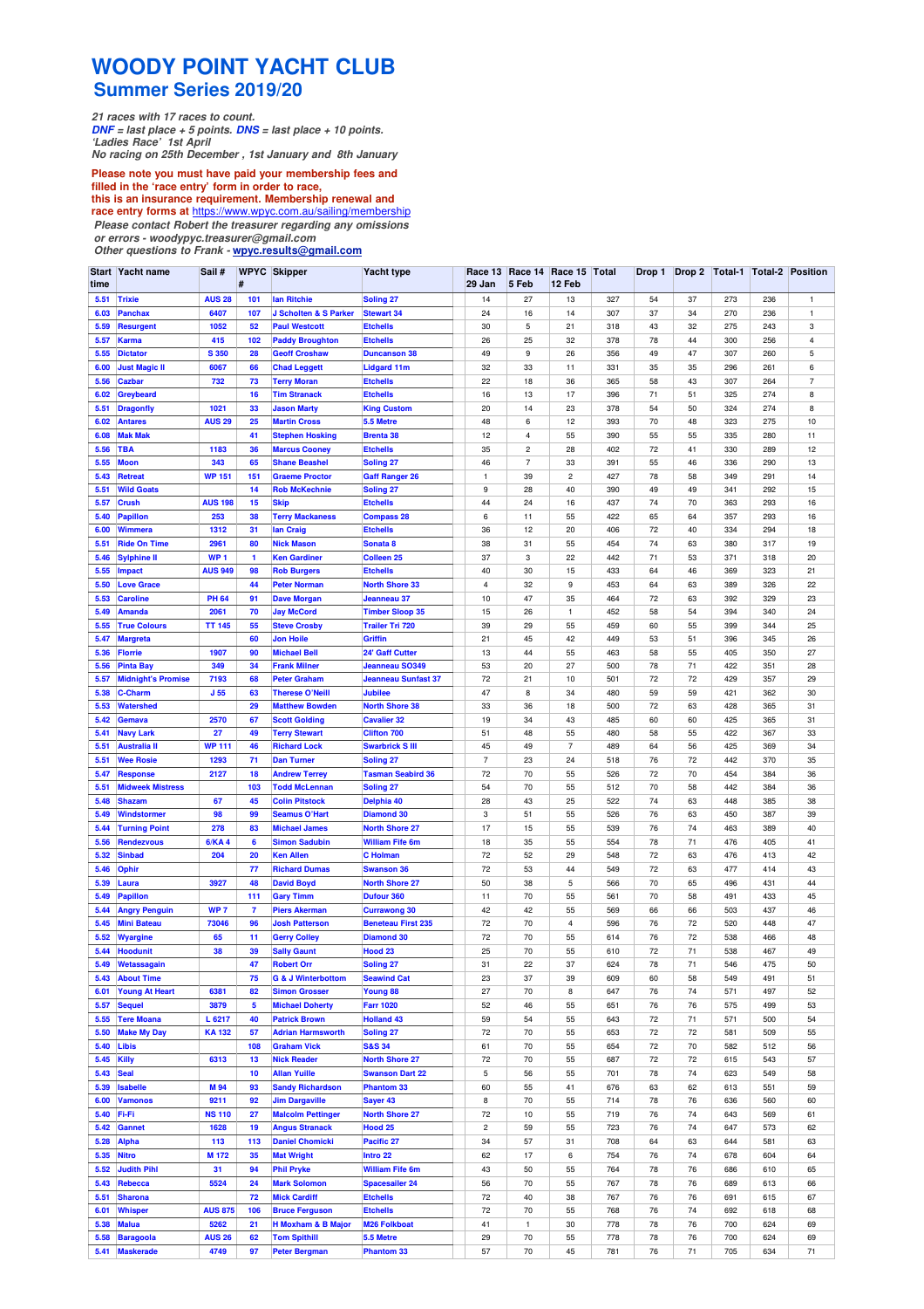## **WOODY POINT YACHT CLUB Summer Series 2019/20**

**21 races with 17 races to count. DNF = last place + 5 points. DNS = last place + 10 points. 'Ladies Race' 1st April No racing on 25th December , 1st January and 8th January**

**Please note you must have paid your membership fees and filled in the 'race entry' form in order to race,**

**this is an insurance requirement. Membership renewal and**

**race entry forms at** https://www.wpyc.com.au/sailing/membership **Please contact Robert the treasurer regarding any omissions**

**or errors - woodypyc.treasurer@gmail.com** 

**Other questions to Frank - wpyc.results@gmail.com**

| Start<br>time | Yacht name                              | Sail#                 | #              | <b>WPYC Skipper</b>                                | Yacht type                                 | Race 13<br>29 Jan | Race 14<br>5 Feb | Race 15<br>12 Feb             | Total      |          |          |            |            | Drop 1   Drop 2   Total-1   Total-2   Position |
|---------------|-----------------------------------------|-----------------------|----------------|----------------------------------------------------|--------------------------------------------|-------------------|------------------|-------------------------------|------------|----------|----------|------------|------------|------------------------------------------------|
| 5.51          | <b>Trixie</b>                           | <b>AUS 28</b>         | 101            | lan Ritchie                                        | <b>Soling 27</b>                           | 14                | 27               | 13                            | 327        | 54       | 37       | 273        | 236        | $\mathbf{1}$                                   |
| 6.03          | <b>Panchax</b>                          | 6407                  | 107            | J Scholten & S Parker                              | <b>Stewart 34</b>                          | 24                | 16               | 14                            | 307        | 37       | 34       | 270        | 236        | $\mathbf{1}$                                   |
| 5.59          | <b>Resurgent</b>                        | 1052                  | 52             | <b>Paul Westcott</b>                               | <b>Etchells</b>                            | 30                | 5                | 21                            | 318        | 43       | 32       | 275        | 243        | 3                                              |
| 5.57          | <b>Karma</b>                            | 415                   | 102            | <b>Paddy Broughton</b>                             | <b>Etchells</b>                            | 26                | 25               | 32                            | 378        | 78       | 44       | 300        | 256        | 4                                              |
| 5.55          | <b>Dictator</b>                         | <b>S350</b>           | 28             | <b>Geoff Croshaw</b>                               | <b>Duncanson 38</b>                        | 49                | 9                | 26                            | 356        | 49       | 47       | 307        | 260        | 5                                              |
| 6.00          | <b>Just Magic II</b>                    | 6067                  | 66             | <b>Chad Leggett</b>                                | Lidgard 11m                                | 32                | 33               | 11                            | 331        | 35       | 35       | 296        | 261        | 6                                              |
| 5.56          | <b>Cazbar</b>                           | 732                   | 73             | <b>Terry Moran</b>                                 | <b>Etchells</b>                            | 22                | 18               | 36                            | 365        | 58       | 43       | 307        | 264        | $\overline{7}$                                 |
| 6.02          | Greybeard                               |                       | 16             | <b>Tim Stranack</b>                                | <b>Etchells</b>                            | 16                | 13               | 17                            | 396        | 71       | 51       | 325        | 274        | 8                                              |
| 5.51          | <b>Dragonfly</b>                        | 1021                  | 33             | <b>Jason Marty</b>                                 | <b>King Custom</b>                         | 20                | 14               | 23                            | 378        | 54       | 50       | 324        | 274        | 8                                              |
| 6.02          | <b>Antares</b>                          | <b>AUS 29</b>         | 25             | <b>Martin Cross</b>                                | 5.5 Metre                                  | 48                | 6                | 12                            | 393        | 70       | 48       | 323        | 275        | 10                                             |
| 6.08          | <b>Mak Mak</b>                          |                       | 41             | <b>Stephen Hosking</b>                             | <b>Brenta 38</b>                           | 12                | $\overline{4}$   | 55                            | 390        | 55       | 55       | 335        | 280        | 11                                             |
| 5.56          | <b>TBA</b>                              | 1183                  | 36             | <b>Marcus Cooney</b>                               | <b>Etchells</b>                            | 35                | $\sqrt{2}$       | 28                            | 402        | 72       | 41       | 330        | 289        | 12                                             |
| 5.55          | <b>Moon</b>                             | 343                   | 65             | <b>Shane Beashel</b>                               | Soling <sub>27</sub>                       | 46                | $\overline{7}$   | 33                            | 391        | 55       | 46       | 336        | 290        | 13                                             |
| 5.43<br>5.51  | <b>Retreat</b><br><b>Wild Goats</b>     | <b>WP 151</b>         | 151<br>14      | <b>Graeme Proctor</b><br><b>Rob McKechnie</b>      | <b>Gaff Ranger 26</b>                      | $\mathbf{1}$<br>9 | 39<br>28         | $\overline{\mathbf{c}}$<br>40 | 427<br>390 | 78<br>49 | 58<br>49 | 349<br>341 | 291<br>292 | 14<br>15                                       |
| 5.57          | <b>Crush</b>                            | <b>AUS 198</b>        | 15             | <b>Skip</b>                                        | Soling <sub>27</sub><br><b>Etchells</b>    | 44                | 24               | 16                            | 437        | 74       | 70       | 363        | 293        | 16                                             |
| 5.40          | Papillon                                | 253                   | 38             | <b>Terry Mackaness</b>                             | <b>Compass 28</b>                          | 6                 | 11               | 55                            | 422        | 65       | 64       | 357        | 293        | 16                                             |
| 6.00          | Wimmera                                 | 1312                  | 31             | lan Craig                                          | <b>Etchells</b>                            | 36                | 12               | 20                            | 406        | 72       | 40       | 334        | 294        | 18                                             |
| 5.51          | <b>Ride On Time</b>                     | 2961                  | 80             | <b>Nick Mason</b>                                  | Sonata <sub>8</sub>                        | 38                | 31               | 55                            | 454        | 74       | 63       | 380        | 317        | 19                                             |
| 5.46          | <b>Sylphine II</b>                      | WP <sub>1</sub>       | $\mathbf{1}$   | <b>Ken Gardiner</b>                                | Colleen <sub>25</sub>                      | 37                | 3                | 22                            | 442        | 71       | 53       | 371        | 318        | 20                                             |
| 5.55          | <b>Impact</b>                           | <b>AUS 949</b>        | 98             | <b>Rob Burgers</b>                                 | <b>Etchells</b>                            | 40                | 30               | 15                            | 433        | 64       | 46       | 369        | 323        | 21                                             |
| 5.50          | <b>Love Grace</b>                       |                       | 44             | <b>Peter Norman</b>                                | <b>North Shore 33</b>                      | 4                 | 32               | 9                             | 453        | 64       | 63       | 389        | 326        | 22                                             |
| 5.53          | <b>Caroline</b>                         | <b>PH 64</b>          | 91             | <b>Dave Morgan</b>                                 | Jeanneau 37                                | 10                | 47               | 35                            | 464        | 72       | 63       | 392        | 329        | 23                                             |
| 5.49          | <b>Amanda</b>                           | 2061                  | 70             | <b>Jay McCord</b>                                  | <b>Timber Sloop 35</b>                     | 15                | 26               | $\mathbf{1}$                  | 452        | 58       | 54       | 394        | 340        | 24                                             |
| 5.55          | <b>True Colours</b>                     | <b>TT 145</b>         | 55             | <b>Steve Crosby</b>                                | <b>Trailer Tri 720</b>                     | 39                | 29               | 55                            | 459        | 60       | 55       | 399        | 344        | 25                                             |
| 5.47          | <b>Margreta</b>                         |                       | 60             | <b>Jon Hoile</b>                                   | Griffin                                    | 21                | 45               | 42                            | 449        | 53       | 51       | 396        | 345        | 26                                             |
| 5.36          | Florrie                                 | 1907                  | 90             | <b>Michael Bell</b>                                | <b>24' Gaff Cutter</b>                     | 13                | 44               | 55                            | 463        | 58       | 55       | 405        | 350        | 27                                             |
| 5.56          | <b>Pinta Bay</b>                        | 349                   | 34             | <b>Frank Milner</b>                                | <b>Jeanneau SO349</b>                      | 53                | 20               | 27                            | 500        | 78       | 71       | 422        | 351        | 28                                             |
| 5.57          | <b>Midnight's Promise</b>               | 7193                  | 68             | <b>Peter Graham</b>                                | <b>Jeanneau Sunfast 37</b>                 | 72                | 21               | 10                            | 501        | 72       | 72       | 429        | 357        | 29                                             |
| 5.38          | <b>C-Charm</b>                          | J <sub>55</sub>       | 63             | <b>Therese O'Neill</b>                             | <b>Jubilee</b>                             | 47                | 8                | 34                            | 480        | 59       | 59       | 421        | 362        | 30                                             |
| 5.53          | <b>Watershed</b>                        |                       | 29             | <b>Matthew Bowden</b>                              | <b>North Shore 38</b>                      | 33                | 36               | 18                            | 500        | 72       | 63       | 428        | 365        | 31                                             |
| 5.42          | Gemava                                  | 2570                  | 67             | <b>Scott Golding</b>                               | <b>Cavalier 32</b>                         | 19                | 34               | 43                            | 485        | 60       | 60       | 425        | 365        | 31                                             |
| 5.41<br>5.51  | <b>Navy Lark</b><br><b>Australia II</b> | 27<br><b>WP 111</b>   | 49<br>46       | <b>Terry Stewart</b><br><b>Richard Lock</b>        | <b>Clifton 700</b>                         | 51<br>45          | 48<br>49         | 55<br>$\overline{7}$          | 480<br>489 | 58<br>64 | 55<br>56 | 422<br>425 | 367<br>369 | 33<br>34                                       |
| 5.51          | <b>Wee Rosie</b>                        | 1293                  | 71             | <b>Dan Turner</b>                                  | <b>Swarbrick S III</b><br>Soling 27        | $\overline{7}$    | 23               | 24                            | 518        | 76       | 72       | 442        | 370        | 35                                             |
| 5.47          | <b>Response</b>                         | 2127                  | 18             | <b>Andrew Terrey</b>                               | <b>Tasman Seabird 36</b>                   | 72                | 70               | 55                            | 526        | 72       | 70       | 454        | 384        | 36                                             |
| 5.51          | <b>Midweek Mistress</b>                 |                       | 103            | <b>Todd McLennan</b>                               | <b>Soling 27</b>                           | 54                | 70               | 55                            | 512        | 70       | 58       | 442        | 384        | 36                                             |
| 5.48          | <b>Shazam</b>                           | 67                    | 45             | <b>Colin Pitstock</b>                              | Delphia 40                                 | 28                | 43               | 25                            | 522        | 74       | 63       | 448        | 385        | 38                                             |
| 5.49          | Windstormer                             | 98                    | 99             | <b>Seamus O'Hart</b>                               | <b>Diamond 30</b>                          | 3                 | 51               | 55                            | 526        | 76       | 63       | 450        | 387        | 39                                             |
| 5.44          | <b>Turning Point</b>                    | 278                   | 83             | <b>Michael James</b>                               | <b>North Shore 27</b>                      | 17                | 15               | 55                            | 539        | 76       | 74       | 463        | 389        | 40                                             |
| 5.56          | <b>Rendezvous</b>                       | <b>6/KA4</b>          | 6              | <b>Simon Sadubin</b>                               | <b>William Fife 6m</b>                     | 18                | 35               | 55                            | 554        | 78       | 71       | 476        | 405        | 41                                             |
| 5.32          | <b>Sinbad</b>                           | 204                   | 20             | <b>Ken Allen</b>                                   | C Holman                                   | 72                | 52               | 29                            | 548        | 72       | 63       | 476        | 413        | 42                                             |
| 5.46          | Ophir                                   |                       | 77             | <b>Richard Dumas</b>                               | <b>Swanson 36</b>                          | 72                | 53               | 44                            | 549        | 72       | 63       | 477        | 414        | 43                                             |
| 5.39          | Laura                                   | 3927                  | 48             | <b>David Boyd</b>                                  | <b>North Shore 27</b>                      | 50                | 38               | 5                             | 566        | 70       | 65       | 496        | 431        | 44                                             |
| 5.49          | <b>Papillon</b>                         |                       | 111            | <b>Gary Timm</b>                                   | <b>Dufour 360</b>                          | 11                | 70               | 55                            | 561        | 70       | 58       | 491        | 433        | 45                                             |
| 5.44          | <b>Angry Penguin</b>                    | WP <sub>7</sub>       | $\overline{7}$ | <b>Piers Akerman</b>                               | <b>Currawong 30</b>                        | 42                | 42               | 55                            | 569        | 66       | 66       | 503        | 437        | 46                                             |
| 5.45          | <b>Mini Bateau</b>                      | 73046                 | 96             | <b>Josh Patterson</b>                              | <b>Beneteau First 235</b>                  | 72                | 70               | $\overline{4}$                | 596        | 76       | 72       | 520        | 448        | 47                                             |
| 5.52          | <b>Wyargine</b>                         | 65                    | 11             | <b>Gerry Colley</b>                                | <b>Diamond 30</b>                          | 72                | 70               | 55                            | 614        | 76       | 72       | 538        | 466        | 48                                             |
| 5.44          | <b>Hoodunit</b>                         | 38                    | 39             | <b>Sally Gaunt</b>                                 | Hood <sub>23</sub>                         | 25                | 70               | 55                            | 610        | 72       | 71       | 538        | 467        | 49                                             |
| 5.49<br>5.43  | Wetassagain<br><b>About Time</b>        |                       | 47<br>75       | <b>Robert Orr</b><br><b>G &amp; J Winterbottom</b> | Soling <sub>27</sub><br><b>Seawind Cat</b> | 31<br>23          | 22<br>37         | 37<br>39                      | 624<br>609 | 78<br>60 | 71<br>58 | 546<br>549 | 475<br>491 | 50<br>51                                       |
| 6.01          | <b>Young At Heart</b>                   | 6381                  | 82             | <b>Simon Grosser</b>                               | Young 88                                   | 27                | 70               | 8                             | 647        | 76       | 74       | 571        | 497        | 52                                             |
| 5.57          | <b>Sequel</b>                           | 3879                  | 5              | <b>Michael Doherty</b>                             | <b>Farr 1020</b>                           | 52                | 46               | 55                            | 651        | 76       | 76       | 575        | 499        | 53                                             |
| 5.55          | <b>Tere Moana</b>                       | L 6217                | 40             | <b>Patrick Brown</b>                               | <b>Holland 43</b>                          | 59                | 54               | 55                            | 643        | 72       | 71       | 571        | 500        | 54                                             |
| 5.50          | <b>Make My Day</b>                      | <b>KA132</b>          | 57             | <b>Adrian Harmsworth</b>                           | Soling <sub>27</sub>                       | 72                | 70               | 55                            | 653        | 72       | 72       | 581        | 509        | 55                                             |
| 5.40          | Libis                                   |                       | 108            | <b>Graham Vick</b>                                 | <b>S&amp;S 34</b>                          | 61                | 70               | 55                            | 654        | 72       | 70       | 582        | 512        | 56                                             |
| 5.45          | Killy                                   | 6313                  | 13             | <b>Nick Reader</b>                                 | <b>North Shore 27</b>                      | 72                | 70               | 55                            | 687        | 72       | 72       | 615        | 543        | 57                                             |
| 5.43          | <b>Seal</b>                             |                       | 10             | <b>Allan Yuille</b>                                | <b>Swanson Dart 22</b>                     | 5                 | 56               | 55                            | 701        | 78       | 74       | 623        | 549        | 58                                             |
| 5.39          | <b>Isabelle</b>                         | M 94                  | 93             | <b>Sandy Richardson</b>                            | <b>Phantom 33</b>                          | 60                | 55               | 41                            | 676        | 63       | 62       | 613        | 551        | 59                                             |
| 6.00          | <b>Vamonos</b>                          | 9211                  | 92             | <b>Jim Dargaville</b>                              | Sayer 43                                   | 8                 | 70               | 55                            | 714        | 78       | 76       | 636        | 560        | 60                                             |
| 5.40          | Fi-Fi                                   | <b>NS 110</b>         | 27             | <b>Malcolm Pettinger</b>                           | <b>North Shore 27</b>                      | 72                | 10               | 55                            | 719        | 76       | 74       | 643        | 569        | 61                                             |
| 5.42          | Gannet                                  | 1628                  | 19             | <b>Angus Stranack</b>                              | Hood <sub>25</sub>                         | $\overline{c}$    | 59               | 55                            | 723        | 76       | 74       | 647        | 573        | 62                                             |
| 5.28          | Alpha                                   | 113                   | 113            | <b>Daniel Chomicki</b>                             | Pacific 27                                 | 34                | 57               | 31                            | 708        | 64       | 63       | 644        | 581        | 63                                             |
| 5.35          | <b>Nitro</b>                            | M <sub>172</sub>      | 35             | <b>Mat Wright</b>                                  | Intro 22                                   | 62                | 17               | 6                             | 754        | 76       | 74       | 678        | 604        | 64                                             |
| 5.52          | <b>Judith Pihl</b>                      | 31                    | 94             | <b>Phil Pryke</b>                                  | <b>William Fife 6m</b>                     | 43                | 50               | 55                            | 764        | 78       | 76       | 686        | 610        | 65                                             |
| 5.43          | Rebecca                                 | 5524                  | 24             | <b>Mark Solomon</b>                                | <b>Spacesailer 24</b>                      | 56                | 70               | 55                            | 767        | 78       | 76       | 689        | 613        | 66                                             |
| 5.51          | <b>Sharona</b>                          |                       | 72             | <b>Mick Cardiff</b>                                | <b>Etchells</b>                            | 72                | 40               | 38                            | 767        | 76       | 76       | 691        | 615        | 67                                             |
| 6.01          | <b>Whisper</b>                          | <b>AUS 875</b>        | 106            | <b>Bruce Ferguson</b>                              | <b>Etchells</b>                            | 72                | 70               | 55                            | 768        | 76       | 74       | 692        | 618        | 68                                             |
| 5.38          | <b>Malua</b>                            | 5262                  | 21             | <b>H Moxham &amp; B Major</b>                      | <b>M26 Folkboat</b>                        | 41                | 1                | 30                            | 778        | 78       | 76       | 700        | 624        | 69                                             |
| 5.58          | <b>Baragoola</b>                        | <b>AUS 26</b><br>4749 | 62             | <b>Tom Spithill</b>                                | 5.5 Metre                                  | 29<br>57          | 70<br>70         | 55<br>45                      | 778        | 78       | 76<br>71 | 700<br>705 | 624        | 69<br>71                                       |
| 5.41          | <b>Maskerade</b>                        |                       | 97             | <b>Peter Bergman</b>                               | <b>Phantom 33</b>                          |                   |                  |                               | 781        | 76       |          |            | 634        |                                                |